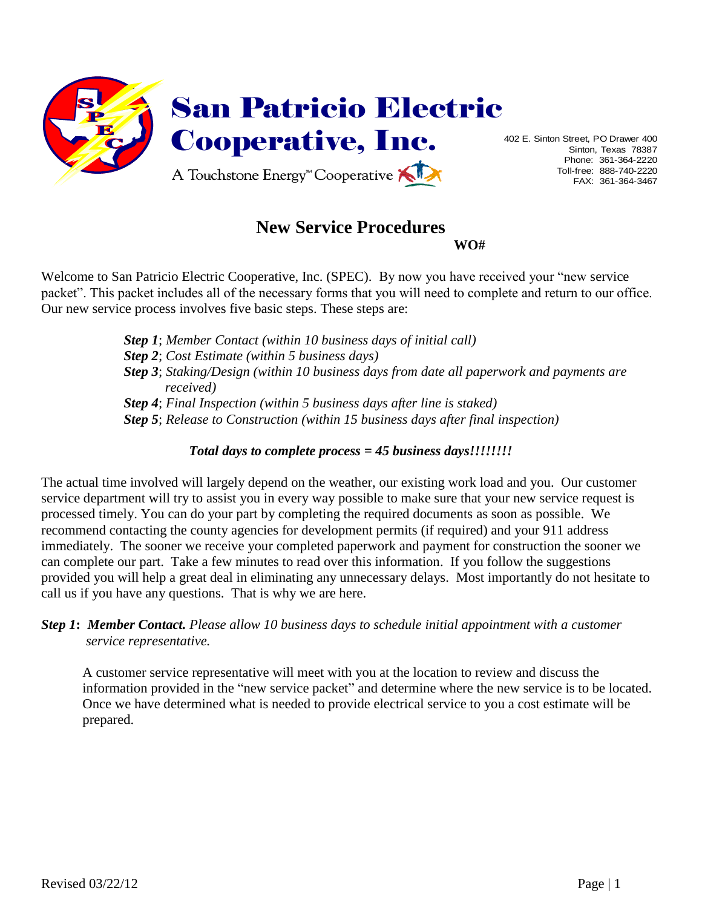

Sinton, Texas 78387 Phone: 361-364-2220 Toll-free: 888-740-2220 FAX: 361-364-3467

# **New Service Procedures**

**WO#**

Welcome to San Patricio Electric Cooperative, Inc. (SPEC). By now you have received your "new service packet". This packet includes all of the necessary forms that you will need to complete and return to our office. Our new service process involves five basic steps. These steps are:

> *Step 1*; *Member Contact (within 10 business days of initial call) Step 2*; *Cost Estimate (within 5 business days) Step 3*; *Staking/Design (within 10 business days from date all paperwork and payments are received) Step 4*; *Final Inspection (within 5 business days after line is staked) Step 5*; *Release to Construction (within 15 business days after final inspection)*

# *Total days to complete process = 45 business days!!!!!!!!*

The actual time involved will largely depend on the weather, our existing work load and you. Our customer service department will try to assist you in every way possible to make sure that your new service request is processed timely. You can do your part by completing the required documents as soon as possible. We recommend contacting the county agencies for development permits (if required) and your 911 address immediately. The sooner we receive your completed paperwork and payment for construction the sooner we can complete our part. Take a few minutes to read over this information. If you follow the suggestions provided you will help a great deal in eliminating any unnecessary delays. Most importantly do not hesitate to call us if you have any questions. That is why we are here.

## *Step 1***:** *Member Contact. Please allow 10 business days to schedule initial appointment with a customer service representative.*

A customer service representative will meet with you at the location to review and discuss the information provided in the "new service packet" and determine where the new service is to be located. Once we have determined what is needed to provide electrical service to you a cost estimate will be prepared.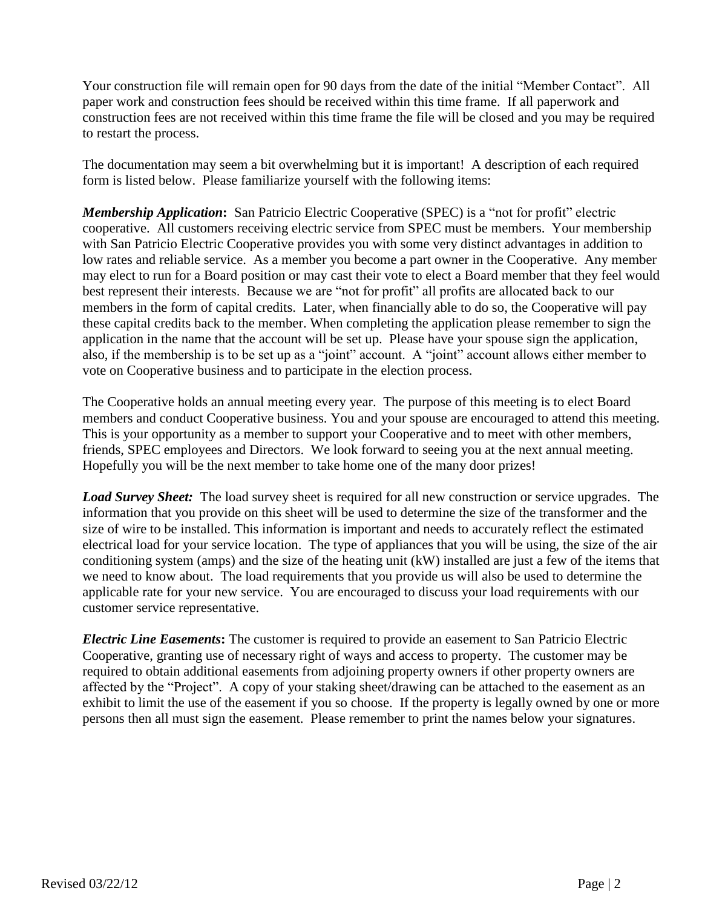Your construction file will remain open for 90 days from the date of the initial "Member Contact". All paper work and construction fees should be received within this time frame. If all paperwork and construction fees are not received within this time frame the file will be closed and you may be required to restart the process.

The documentation may seem a bit overwhelming but it is important! A description of each required form is listed below. Please familiarize yourself with the following items:

*Membership Application***:** San Patricio Electric Cooperative (SPEC) is a "not for profit" electric cooperative. All customers receiving electric service from SPEC must be members. Your membership with San Patricio Electric Cooperative provides you with some very distinct advantages in addition to low rates and reliable service. As a member you become a part owner in the Cooperative. Any member may elect to run for a Board position or may cast their vote to elect a Board member that they feel would best represent their interests. Because we are "not for profit" all profits are allocated back to our members in the form of capital credits. Later, when financially able to do so, the Cooperative will pay these capital credits back to the member. When completing the application please remember to sign the application in the name that the account will be set up. Please have your spouse sign the application, also, if the membership is to be set up as a "joint" account. A "joint" account allows either member to vote on Cooperative business and to participate in the election process.

The Cooperative holds an annual meeting every year. The purpose of this meeting is to elect Board members and conduct Cooperative business. You and your spouse are encouraged to attend this meeting. This is your opportunity as a member to support your Cooperative and to meet with other members, friends, SPEC employees and Directors. We look forward to seeing you at the next annual meeting. Hopefully you will be the next member to take home one of the many door prizes!

*Load Survey Sheet:*The load survey sheet is required for all new construction or service upgrades. The information that you provide on this sheet will be used to determine the size of the transformer and the size of wire to be installed. This information is important and needs to accurately reflect the estimated electrical load for your service location. The type of appliances that you will be using, the size of the air conditioning system (amps) and the size of the heating unit (kW) installed are just a few of the items that we need to know about. The load requirements that you provide us will also be used to determine the applicable rate for your new service. You are encouraged to discuss your load requirements with our customer service representative.

*Electric Line Easements***:** The customer is required to provide an easement to San Patricio Electric Cooperative, granting use of necessary right of ways and access to property. The customer may be required to obtain additional easements from adjoining property owners if other property owners are affected by the "Project". A copy of your staking sheet/drawing can be attached to the easement as an exhibit to limit the use of the easement if you so choose. If the property is legally owned by one or more persons then all must sign the easement. Please remember to print the names below your signatures.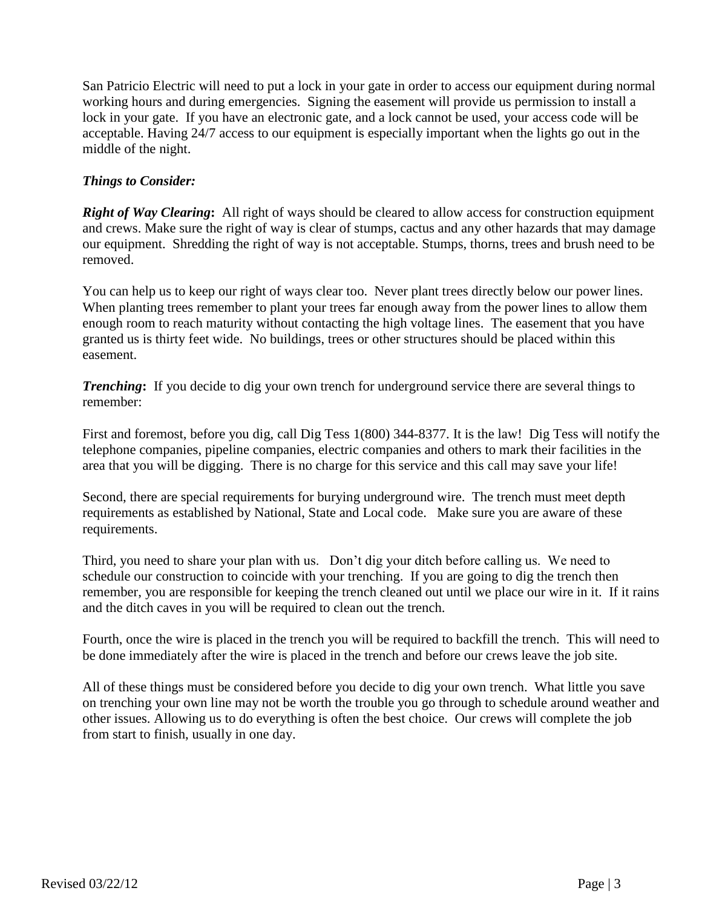San Patricio Electric will need to put a lock in your gate in order to access our equipment during normal working hours and during emergencies. Signing the easement will provide us permission to install a lock in your gate. If you have an electronic gate, and a lock cannot be used, your access code will be acceptable. Having 24/7 access to our equipment is especially important when the lights go out in the middle of the night.

### *Things to Consider:*

*Right of Way Clearing***:** All right of ways should be cleared to allow access for construction equipment and crews. Make sure the right of way is clear of stumps, cactus and any other hazards that may damage our equipment. Shredding the right of way is not acceptable. Stumps, thorns, trees and brush need to be removed.

You can help us to keep our right of ways clear too. Never plant trees directly below our power lines. When planting trees remember to plant your trees far enough away from the power lines to allow them enough room to reach maturity without contacting the high voltage lines. The easement that you have granted us is thirty feet wide. No buildings, trees or other structures should be placed within this easement.

*Trenching*: If you decide to dig your own trench for underground service there are several things to remember:

First and foremost, before you dig, call Dig Tess 1(800) 344-8377. It is the law! Dig Tess will notify the telephone companies, pipeline companies, electric companies and others to mark their facilities in the area that you will be digging. There is no charge for this service and this call may save your life!

Second, there are special requirements for burying underground wire. The trench must meet depth requirements as established by National, State and Local code. Make sure you are aware of these requirements.

Third, you need to share your plan with us. Don't dig your ditch before calling us. We need to schedule our construction to coincide with your trenching. If you are going to dig the trench then remember, you are responsible for keeping the trench cleaned out until we place our wire in it. If it rains and the ditch caves in you will be required to clean out the trench.

Fourth, once the wire is placed in the trench you will be required to backfill the trench. This will need to be done immediately after the wire is placed in the trench and before our crews leave the job site.

All of these things must be considered before you decide to dig your own trench. What little you save on trenching your own line may not be worth the trouble you go through to schedule around weather and other issues. Allowing us to do everything is often the best choice. Our crews will complete the job from start to finish, usually in one day.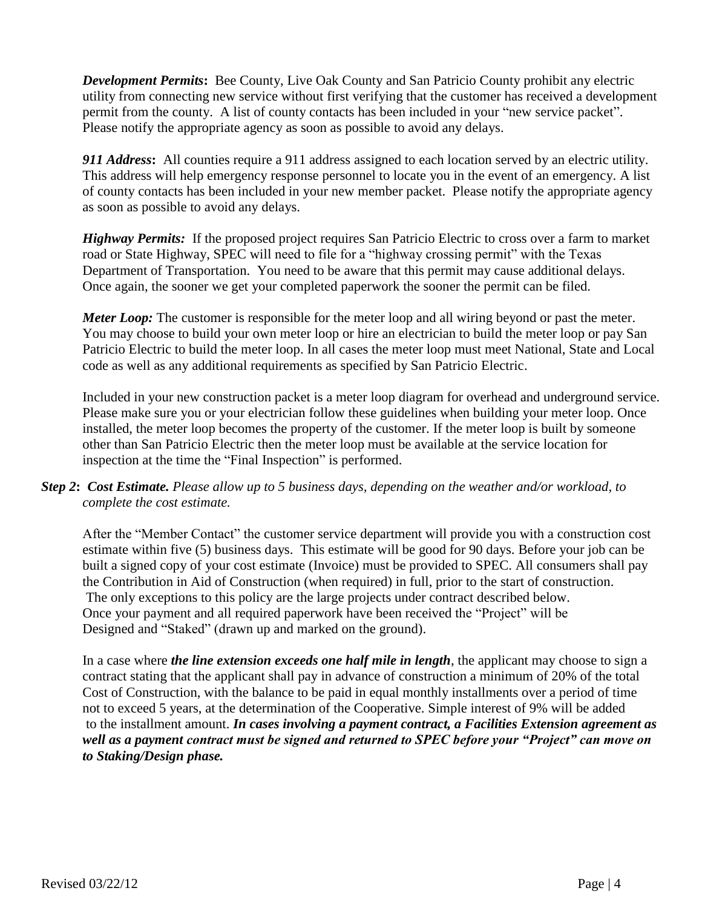*Development Permits***:** Bee County, Live Oak County and San Patricio County prohibit any electric utility from connecting new service without first verifying that the customer has received a development permit from the county. A list of county contacts has been included in your "new service packet". Please notify the appropriate agency as soon as possible to avoid any delays.

*911 Address***:** All counties require a 911 address assigned to each location served by an electric utility. This address will help emergency response personnel to locate you in the event of an emergency. A list of county contacts has been included in your new member packet. Please notify the appropriate agency as soon as possible to avoid any delays.

*Highway Permits:*If the proposed project requires San Patricio Electric to cross over a farm to market road or State Highway, SPEC will need to file for a "highway crossing permit" with the Texas Department of Transportation. You need to be aware that this permit may cause additional delays. Once again, the sooner we get your completed paperwork the sooner the permit can be filed.

*Meter Loop:* The customer is responsible for the meter loop and all wiring beyond or past the meter. You may choose to build your own meter loop or hire an electrician to build the meter loop or pay San Patricio Electric to build the meter loop. In all cases the meter loop must meet National, State and Local code as well as any additional requirements as specified by San Patricio Electric.

Included in your new construction packet is a meter loop diagram for overhead and underground service. Please make sure you or your electrician follow these guidelines when building your meter loop. Once installed, the meter loop becomes the property of the customer. If the meter loop is built by someone other than San Patricio Electric then the meter loop must be available at the service location for inspection at the time the "Final Inspection" is performed.

## *Step 2***:** *Cost Estimate. Please allow up to 5 business days, depending on the weather and/or workload, to complete the cost estimate.*

After the "Member Contact" the customer service department will provide you with a construction cost estimate within five (5) business days. This estimate will be good for 90 days. Before your job can be built a signed copy of your cost estimate (Invoice) must be provided to SPEC. All consumers shall pay the Contribution in Aid of Construction (when required) in full, prior to the start of construction. The only exceptions to this policy are the large projects under contract described below. Once your payment and all required paperwork have been received the "Project" will be Designed and "Staked" (drawn up and marked on the ground).

In a case where *the line extension exceeds one half mile in length*, the applicant may choose to sign a contract stating that the applicant shall pay in advance of construction a minimum of 20% of the total Cost of Construction, with the balance to be paid in equal monthly installments over a period of time not to exceed 5 years, at the determination of the Cooperative. Simple interest of 9% will be added to the installment amount. *In cases involving a payment contract, a Facilities Extension agreement as well as a payment contract must be signed and returned to SPEC before your "Project" can move on to Staking/Design phase.*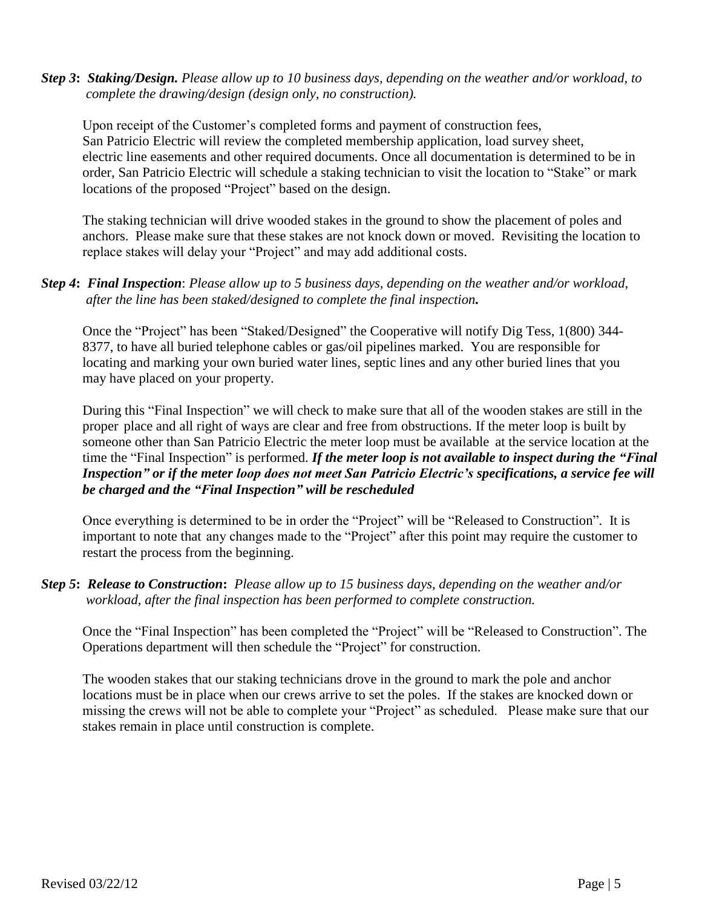*Step 3***:** *Staking/Design. Please allow up to 10 business days, depending on the weather and/or workload, to complete the drawing/design (design only, no construction).* 

Upon receipt of the Customer's completed forms and payment of construction fees, San Patricio Electric will review the completed membership application, load survey sheet, electric line easements and other required documents. Once all documentation is determined to be in order, San Patricio Electric will schedule a staking technician to visit the location to "Stake" or mark locations of the proposed "Project" based on the design.

The staking technician will drive wooded stakes in the ground to show the placement of poles and anchors. Please make sure that these stakes are not knock down or moved. Revisiting the location to replace stakes will delay your "Project" and may add additional costs.

#### *Step 4***:** *Final Inspection*: *Please allow up to 5 business days, depending on the weather and/or workload, after the line has been staked/designed to complete the final inspection.*

Once the "Project" has been "Staked/Designed" the Cooperative will notify Dig Tess, 1(800) 344- 8377, to have all buried telephone cables or gas/oil pipelines marked. You are responsible for locating and marking your own buried water lines, septic lines and any other buried lines that you may have placed on your property.

During this "Final Inspection" we will check to make sure that all of the wooden stakes are still in the proper place and all right of ways are clear and free from obstructions. If the meter loop is built by someone other than San Patricio Electric the meter loop must be available at the service location at the time the "Final Inspection" is performed. *If the meter loop is not available to inspect during the "Final Inspection" or if the meter loop does not meet San Patricio Electric's specifications, a service fee will be charged and the "Final Inspection" will be rescheduled*

Once everything is determined to be in order the "Project" will be "Released to Construction". It is important to note that any changes made to the "Project" after this point may require the customer to restart the process from the beginning.

*Step 5***:** *Release to Construction***:** *Please allow up to 15 business days, depending on the weather and/or workload, after the final inspection has been performed to complete construction.*

Once the "Final Inspection" has been completed the "Project" will be "Released to Construction". The Operations department will then schedule the "Project" for construction.

The wooden stakes that our staking technicians drove in the ground to mark the pole and anchor locations must be in place when our crews arrive to set the poles. If the stakes are knocked down or missing the crews will not be able to complete your "Project" as scheduled. Please make sure that our stakes remain in place until construction is complete.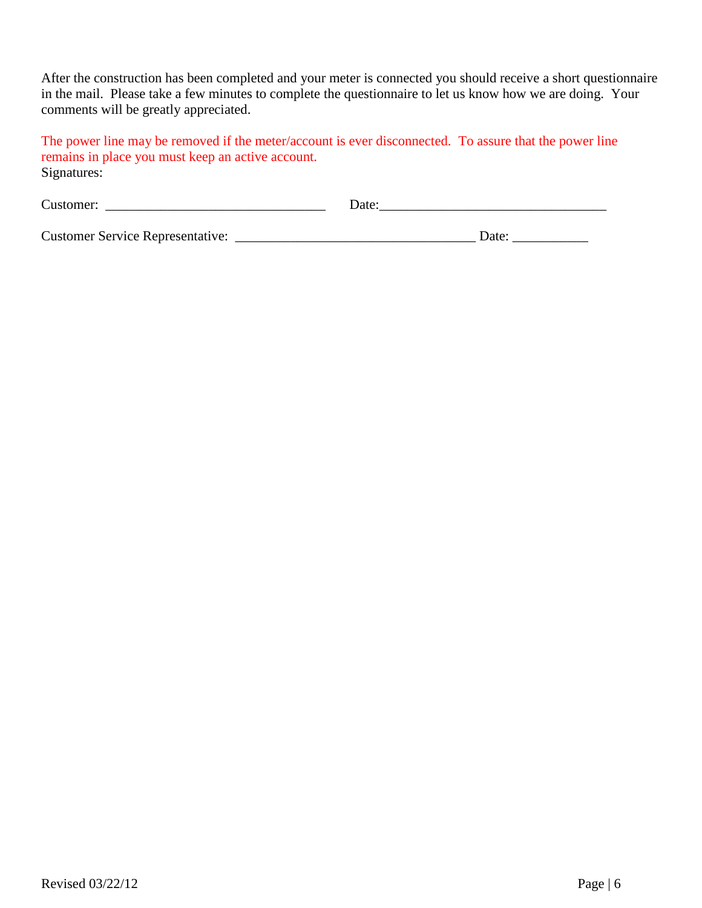After the construction has been completed and your meter is connected you should receive a short questionnaire in the mail. Please take a few minutes to complete the questionnaire to let us know how we are doing. Your comments will be greatly appreciated.

The power line may be removed if the meter/account is ever disconnected. To assure that the power line remains in place you must keep an active account. Signatures:

| Customer:                               | Date  |
|-----------------------------------------|-------|
|                                         |       |
| <b>Customer Service Representative:</b> | Date: |